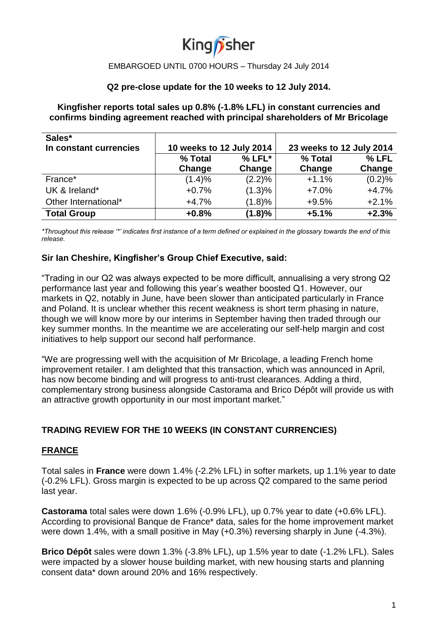

#### **Q2 pre-close update for the 10 weeks to 12 July 2014.**

**Kingfisher reports total sales up 0.8% (-1.8% LFL) in constant currencies and confirms binding agreement reached with principal shareholders of Mr Bricolage** 

| Sales*                 |                          |          |                          |         |
|------------------------|--------------------------|----------|--------------------------|---------|
| In constant currencies | 10 weeks to 12 July 2014 |          | 23 weeks to 12 July 2014 |         |
|                        | % Total                  | $% LFL*$ | % Total                  | $%$ LFL |
|                        | Change                   | Change   | Change                   | Change  |
| France*                | (1.4)%                   | (2.2)%   | $+1.1%$                  | (0.2)%  |
| UK & Ireland*          | $+0.7%$                  | (1.3)%   | $+7.0%$                  | $+4.7%$ |
| Other International*   | $+4.7%$                  | (1.8)%   | $+9.5%$                  | $+2.1%$ |
| <b>Total Group</b>     | $+0.8%$                  | (1.8)%   | $+5.1%$                  | $+2.3%$ |

*\*Throughout this release '\*' indicates first instance of a term defined or explained in the glossary towards the end of this release.*

#### **Sir Ian Cheshire, Kingfisher's Group Chief Executive, said:**

"Trading in our Q2 was always expected to be more difficult, annualising a very strong Q2 performance last year and following this year's weather boosted Q1. However, our markets in Q2, notably in June, have been slower than anticipated particularly in France and Poland. It is unclear whether this recent weakness is short term phasing in nature, though we will know more by our interims in September having then traded through our key summer months. In the meantime we are accelerating our self-help margin and cost initiatives to help support our second half performance.

"We are progressing well with the acquisition of Mr Bricolage, a leading French home improvement retailer. I am delighted that this transaction, which was announced in April, has now become binding and will progress to anti-trust clearances. Adding a third, complementary strong business alongside Castorama and Brico Dépôt will provide us with an attractive growth opportunity in our most important market."

## **TRADING REVIEW FOR THE 10 WEEKS (IN CONSTANT CURRENCIES)**

#### **FRANCE**

Total sales in **France** were down 1.4% (-2.2% LFL) in softer markets, up 1.1% year to date (-0.2% LFL). Gross margin is expected to be up across Q2 compared to the same period last year.

**Castorama** total sales were down 1.6% (-0.9% LFL), up 0.7% year to date (+0.6% LFL). According to provisional Banque de France\* data, sales for the home improvement market were down 1.4%, with a small positive in May (+0.3%) reversing sharply in June (-4.3%).

**Brico Dépôt** sales were down 1.3% (-3.8% LFL), up 1.5% year to date (-1.2% LFL). Sales were impacted by a slower house building market, with new housing starts and planning consent data\* down around 20% and 16% respectively.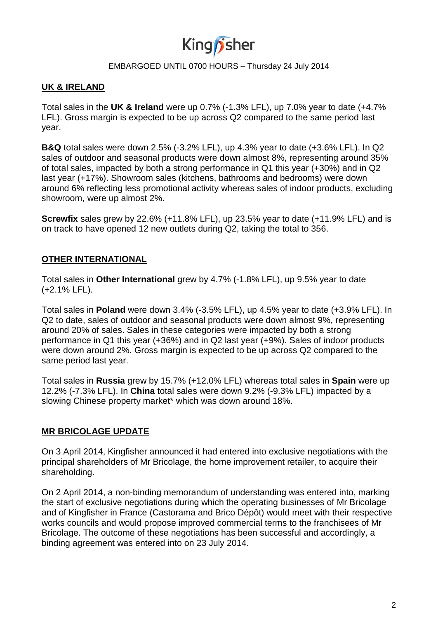

## **UK & IRELAND**

Total sales in the **UK & Ireland** were up 0.7% (-1.3% LFL), up 7.0% year to date (+4.7% LFL). Gross margin is expected to be up across Q2 compared to the same period last year.

**B&Q** total sales were down 2.5% (-3.2% LFL), up 4.3% year to date (+3.6% LFL). In Q2 sales of outdoor and seasonal products were down almost 8%, representing around 35% of total sales, impacted by both a strong performance in Q1 this year (+30%) and in Q2 last year (+17%). Showroom sales (kitchens, bathrooms and bedrooms) were down around 6% reflecting less promotional activity whereas sales of indoor products, excluding showroom, were up almost 2%.

**Screwfix** sales grew by 22.6% (+11.8% LFL), up 23.5% year to date (+11.9% LFL) and is on track to have opened 12 new outlets during Q2, taking the total to 356.

## **OTHER INTERNATIONAL**

Total sales in **Other International** grew by 4.7% (-1.8% LFL), up 9.5% year to date (+2.1% LFL).

Total sales in **Poland** were down 3.4% (-3.5% LFL), up 4.5% year to date (+3.9% LFL). In Q2 to date, sales of outdoor and seasonal products were down almost 9%, representing around 20% of sales. Sales in these categories were impacted by both a strong performance in Q1 this year (+36%) and in Q2 last year (+9%). Sales of indoor products were down around 2%. Gross margin is expected to be up across Q2 compared to the same period last year.

Total sales in **Russia** grew by 15.7% (+12.0% LFL) whereas total sales in **Spain** were up 12.2% (-7.3% LFL). In **China** total sales were down 9.2% (-9.3% LFL) impacted by a slowing Chinese property market\* which was down around 18%.

## **MR BRICOLAGE UPDATE**

On 3 April 2014, Kingfisher announced it had entered into exclusive negotiations with the principal shareholders of Mr Bricolage, the home improvement retailer, to acquire their shareholding.

On 2 April 2014, a non-binding memorandum of understanding was entered into, marking the start of exclusive negotiations during which the operating businesses of Mr Bricolage and of Kingfisher in France (Castorama and Brico Dépôt) would meet with their respective works councils and would propose improved commercial terms to the franchisees of Mr Bricolage. The outcome of these negotiations has been successful and accordingly, a binding agreement was entered into on 23 July 2014.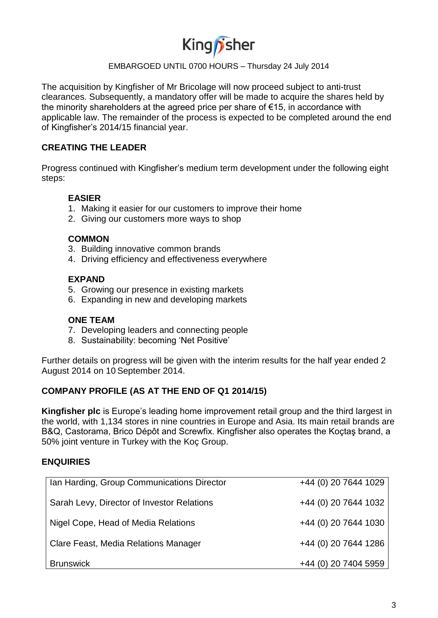

The acquisition by Kingfisher of Mr Bricolage will now proceed subject to anti-trust clearances. Subsequently, a mandatory offer will be made to acquire the shares held by the minority shareholders at the agreed price per share of €15, in accordance with applicable law. The remainder of the process is expected to be completed around the end of Kingfisher's 2014/15 financial year.

## **CREATING THE LEADER**

Progress continued with Kingfisher's medium term development under the following eight steps:

# **EASIER**

- 1. Making it easier for our customers to improve their home
- 2. Giving our customers more ways to shop

#### **COMMON**

- 3. Building innovative common brands
- 4. Driving efficiency and effectiveness everywhere

## **EXPAND**

- 5. Growing our presence in existing markets
- 6. Expanding in new and developing markets

#### **ONE TEAM**

- 7. Developing leaders and connecting people
- 8. Sustainability: becoming 'Net Positive'

Further details on progress will be given with the interim results for the half year ended 2 August 2014 on 10 September 2014.

## **COMPANY PROFILE (AS AT THE END OF Q1 2014/15)**

**Kingfisher plc** is Europe's leading home improvement retail group and the third largest in the world, with 1,134 stores in nine countries in Europe and Asia. Its main retail brands are B&Q, Castorama, Brico Dépôt and Screwfix. Kingfisher also operates the Koçtaş brand, a 50% joint venture in Turkey with the Koç Group.

## **ENQUIRIES**

| Ian Harding, Group Communications Director | +44 (0) 20 7644 1029 |
|--------------------------------------------|----------------------|
| Sarah Levy, Director of Investor Relations | +44 (0) 20 7644 1032 |
| Nigel Cope, Head of Media Relations        | +44 (0) 20 7644 1030 |
| Clare Feast, Media Relations Manager       | +44 (0) 20 7644 1286 |
| <b>Brunswick</b>                           | +44 (0) 20 7404 5959 |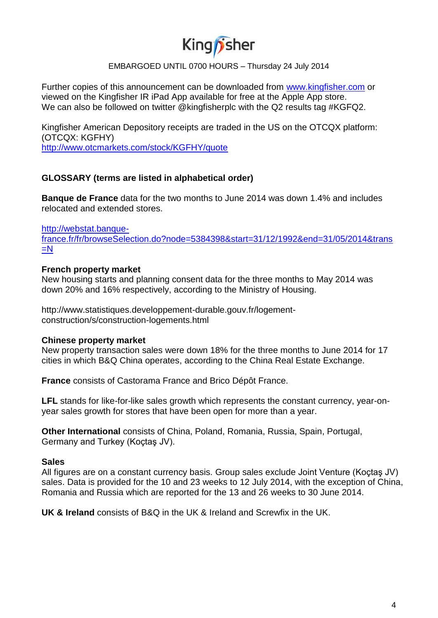# King *f*sher

#### EMBARGOED UNTIL 0700 HOURS – Thursday 24 July 2014

Further copies of this announcement can be downloaded from [www.kingfisher.com](http://www.kingfisher.com/) or viewed on the Kingfisher IR iPad App available for free at the Apple App store. We can also be followed on twitter @kingfisherplc with the Q2 results tag #KGFQ2.

Kingfisher American Depository receipts are traded in the US on the OTCQX platform: (OTCQX: KGFHY)

<http://www.otcmarkets.com/stock/KGFHY/quote>

## **GLOSSARY (terms are listed in alphabetical order)**

**Banque de France** data for the two months to June 2014 was down 1.4% and includes relocated and extended stores.

[http://webstat.banque-](http://webstat.banque-france.fr/fr/browseSelection.do?node=5384398&start=31/12/1992&end=31/05/2014&trans=N)

[france.fr/fr/browseSelection.do?node=5384398&start=31/12/1992&end=31/05/2014&trans](http://webstat.banque-france.fr/fr/browseSelection.do?node=5384398&start=31/12/1992&end=31/05/2014&trans=N)  $=N$ 

#### **French property market**

New housing starts and planning consent data for the three months to May 2014 was down 20% and 16% respectively, according to the Ministry of Housing.

http://www.statistiques.developpement-durable.gouv.fr/logementconstruction/s/construction-logements.html

## **Chinese property market**

New property transaction sales were down 18% for the three months to June 2014 for 17 cities in which B&Q China operates, according to the China Real Estate Exchange.

**France** consists of Castorama France and Brico Dépôt France.

**LFL** stands for like-for-like sales growth which represents the constant currency, year-onyear sales growth for stores that have been open for more than a year.

**Other International** consists of China, Poland, Romania, Russia, Spain, Portugal, Germany and Turkey (Koçtaş JV).

## **Sales**

All figures are on a constant currency basis. Group sales exclude Joint Venture (Koçtaş JV) sales. Data is provided for the 10 and 23 weeks to 12 July 2014, with the exception of China, Romania and Russia which are reported for the 13 and 26 weeks to 30 June 2014.

**UK & Ireland** consists of B&Q in the UK & Ireland and Screwfix in the UK.